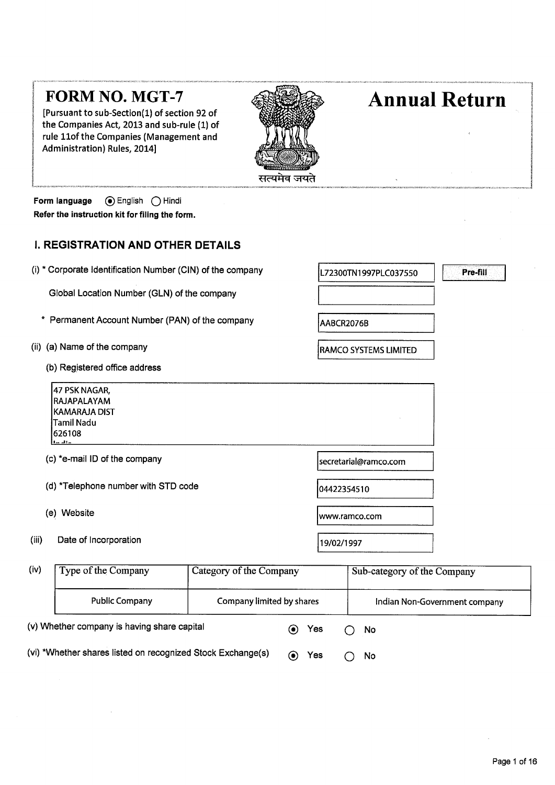|       |                                                                                                            | सत्यमेव जयते              |             |                             |                               |
|-------|------------------------------------------------------------------------------------------------------------|---------------------------|-------------|-----------------------------|-------------------------------|
|       | ⊙ English<br>Form language<br>( ) Hindi<br>Refer the instruction kit for filing the form.                  |                           |             |                             |                               |
|       | <b>I. REGISTRATION AND OTHER DETAILS</b>                                                                   |                           |             |                             |                               |
|       | (i) * Corporate Identification Number (CIN) of the company                                                 |                           |             | L72300TN1997PLC037550       | Pre-fill                      |
|       | Global Location Number (GLN) of the company                                                                |                           |             |                             |                               |
|       | Permanent Account Number (PAN) of the company                                                              |                           | AABCR2076B  |                             |                               |
|       | (ii) (a) Name of the company                                                                               |                           |             | RAMCO SYSTEMS LIMITED       |                               |
|       | (b) Registered office address                                                                              |                           |             |                             |                               |
|       | 47 PSK NAGAR,<br>RAJAPALAYAM<br><b>KAMARAJA DIST</b><br><b>Tamil Nadu</b><br>626108                        |                           |             |                             |                               |
|       | (c) *e-mail ID of the company                                                                              |                           |             | secretarial@ramco.com       |                               |
|       | (d) *Telephone number with STD code                                                                        |                           | 04422354510 |                             |                               |
|       | (e) Website                                                                                                |                           |             | www.ramco.com               |                               |
| (iii) | Date of Incorporation                                                                                      |                           | 19/02/1997  |                             |                               |
| (iv)  | Type of the Company                                                                                        | Category of the Company   |             | Sub-category of the Company |                               |
|       | <b>Public Company</b>                                                                                      | Company limited by shares |             |                             | Indian Non-Government company |
|       | (v) Whether company is having share capital<br>(vi) *Whether shares listed on recognized Stock Exchange(s) | ◉<br>$\boldsymbol{\odot}$ | Yes<br>Yes  | No<br>No                    |                               |

[Pursuant to sub-Section(1) of section 92 of the Companies Act, 2013 and sub-rule (1) of rule 11of the Companies (Management and Administration) Rules, 2014]

# **Annual Return**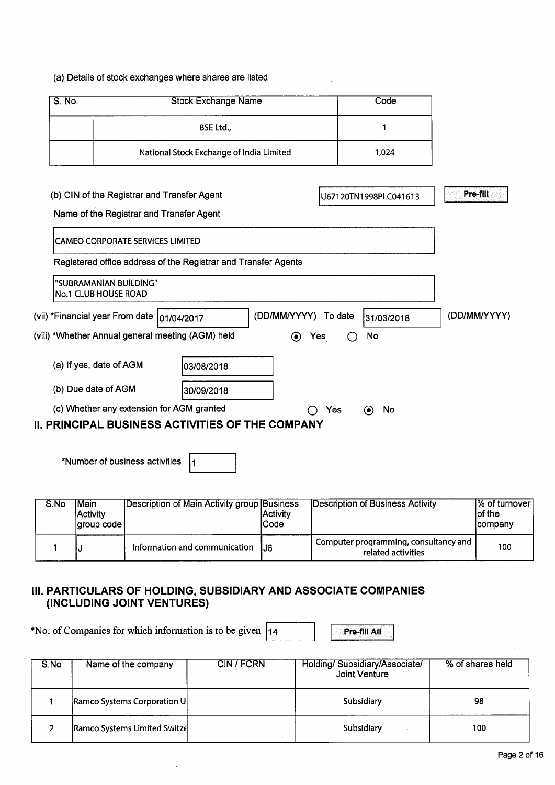### (a) Details of stock exchanges where shares are listed

| S. No. | <b>Stock Exchange Name</b>               | Code  |
|--------|------------------------------------------|-------|
|        | <b>BSE Ltd.,</b>                         |       |
|        | National Stock Exchange of India Limited | 1.024 |

## (b) CIN of the Registrar and Transfer Agent

U67120TN1998PLC041613 Pre-fill

I

## Name of the Registrar and Transfer Agent

| CAMEO CORPORATE SERVICES LIMITED                                                              |                        |                                 |               |              |  |  |  |
|-----------------------------------------------------------------------------------------------|------------------------|---------------------------------|---------------|--------------|--|--|--|
| Registered office address of the Registrar and Transfer Agents                                |                        |                                 |               |              |  |  |  |
| No.1 CLUB HOUSE ROAD                                                                          | "SUBRAMANIAN BUILDING" |                                 |               |              |  |  |  |
| (vii) *Financial year From date  01/04/2017                                                   |                        | (DD/MM/YYYY)<br>To date         | 31/03/2018    | (DD/MM/YYYY) |  |  |  |
| (viii) *Whether Annual general meeting (AGM) held                                             |                        | Yes<br>$\left( \bullet \right)$ | No            |              |  |  |  |
| (a) If yes, date of AGM                                                                       | 103/08/2018            |                                 |               |              |  |  |  |
| (b) Due date of AGM                                                                           | 30/09/2018             |                                 |               |              |  |  |  |
| (c) Whether any extension for AGM granted<br>II. PRINCIPAL BUSINESS ACTIVITIES OF THE COMPANY |                        | Yes                             | No<br>$\odot$ |              |  |  |  |

\*Number of business activities  $\vert_1$ 

| S.No | Main<br>Activity<br>group code | Description of Main Activity group Business | <b>Activity</b><br>Code | Description of Business Activity                            | 1% of turnover<br>lof the<br>company |
|------|--------------------------------|---------------------------------------------|-------------------------|-------------------------------------------------------------|--------------------------------------|
|      |                                | Information and communication               | 1.16                    | Computer programming, consultancy and<br>related activities | 100                                  |

## **III. PARTICULARS OF HOLDING, SUBSIDIARY AND ASSOCIATE COMPANIES (INCLUDING JOINT VENTURES)**

\*No. of Companies for which information is to be given  $\boxed{14}$  Pre-fill All

| S.No | Name of the company          | CIN/FCRN | Holding/ Subsidiary/Associate/<br>Joint Venture | % of shares held |
|------|------------------------------|----------|-------------------------------------------------|------------------|
|      | Ramco Systems Corporation U  |          | Subsidiary                                      | 98               |
|      | Ramco Systems Limited Switze |          | Subsidiary                                      | 100              |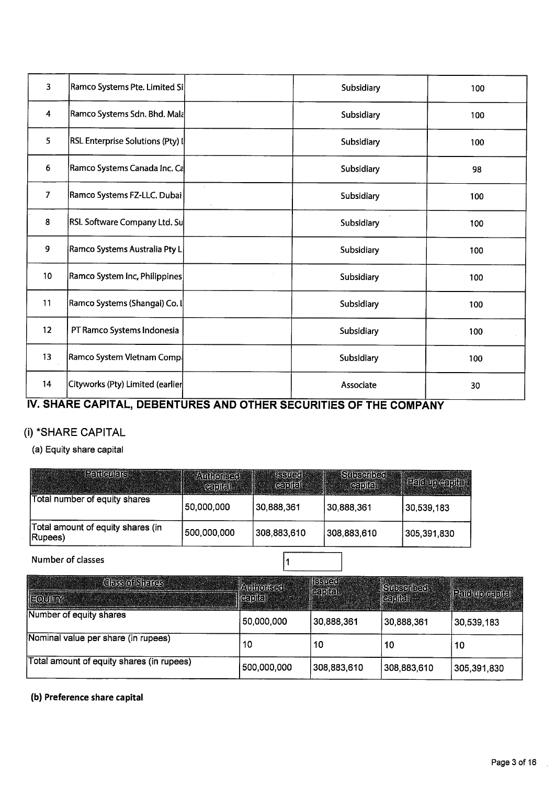| 3                       | Ramco Systems Pte. Limited Si    |               | Subsidiary | 100 |
|-------------------------|----------------------------------|---------------|------------|-----|
| $\overline{\mathbf{4}}$ | Ramco Systems Sdn. Bhd. Mala     |               | Subsidiary | 100 |
| 5                       | RSL Enterprise Solutions (Pty) I |               | Subsidiary | 100 |
| $\boldsymbol{6}$        | Ramco Systems Canada Inc. Ca     |               | Subsidiary | 98  |
| $\overline{7}$          | Ramco Systems FZ-LLC. Dubai      | $\mathcal{L}$ | Subsidiary | 100 |
| 8                       | RSL Software Company Ltd. Su     |               | Subsidiary | 100 |
| 9                       | Ramco Systems Australia Pty L    |               | Subsidiary | 100 |
| 10 <sub>1</sub>         | Ramco System Inc, Philippines    |               | Subsidiary | 100 |
| 11                      | Ramco Systems (Shangai) Co. I    |               | Subsidiary | 100 |
| 12 <sub>2</sub>         | PT Ramco Systems Indonesia       |               | Subsidiary | 100 |
| 13                      | Ramco System Vietnam Comp.       |               | Subsidiary | 100 |
| 14                      | Cityworks (Pty) Limited (earlier |               | Associate  | 30  |

# **IV. SHARE CAPITAL, DEBENTURES AND OTHER SECURITIES OF THE COMPANY**

# (i) \*SHARE CAPITAL

(a) Equity share capital

| <b>Particulars</b>                           | <b>Authorised</b><br><b>Capital</b> | <b>ISSUED</b><br>Gaplia | Subscribed<br><b>Capital</b> | <b>Paid up capital</b> |
|----------------------------------------------|-------------------------------------|-------------------------|------------------------------|------------------------|
| Total number of equity shares                | 50,000,000                          | 30,888,361              | 30,888,361                   | 30,539,183             |
| Total amount of equity shares (in<br>(Rupees | 500,000,000                         | 308,883,610             | 308,883,610                  | 305,391,830            |

Number of classes

 $\vert$ 1

| <b>Class of Shares</b>                    | <b>Authorised</b>     | <b>ISSUED</b> | Subscribed. |                 |  |
|-------------------------------------------|-----------------------|---------------|-------------|-----------------|--|
| EQUITY                                    | $\ $ (ea) $\ $ a $\ $ | capital.      | capital     | Paid up capital |  |
| Number of equity shares                   | 50,000,000            | 30,888,361    | 30,888,361  | 30,539,183      |  |
| Nominal value per share (in rupees)       | 10                    | 10            | 10          | 10              |  |
| Total amount of equity shares (in rupees) | 500,000,000           | 308,883,610   | 308,883,610 | 305,391,830     |  |

**(b) Preference share capital**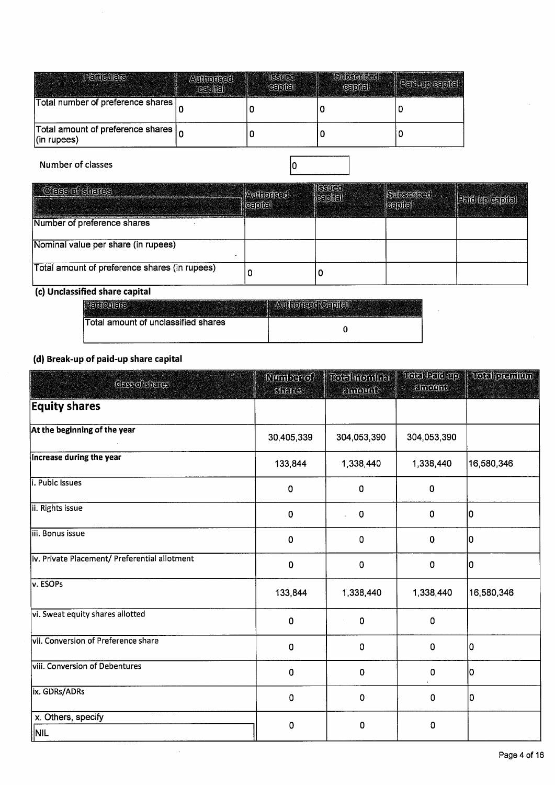| <b>Peniculais</b>                                    | <b>Authorised</b><br>[5] | SS <br>GE[1] | <b>Subscribed</b><br>capital | <b>Participies</b> |
|------------------------------------------------------|--------------------------|--------------|------------------------------|--------------------|
| Total number of preference shares                    |                          |              |                              |                    |
| Total amount of preference shares<br>$ $ (in rupees) |                          |              |                              |                    |

Number of classes

 $\bar{\alpha}$ 

| <b>Class of shares</b>                        | <b>Authorised</b><br>$\epsilon$ [o] $\epsilon$ [ | SSTJG0<br>capter | <b>Subserloge</b><br>[ge] | $ $ $\equiv$ $ $ $\equiv$ $ $ $\equiv$ $ $ $\equiv$ $ $ $\equiv$ $ $ $\equiv$ $ $ $\equiv$ $ $ $\equiv$ $ $ $\equiv$ $ $ $\equiv$ $ $ $\equiv$ $ $ $\equiv$ $ $ $\equiv$ $ $ $\equiv$ $ $ $\equiv$ $ $ $\equiv$ $ $ $\equiv$ $ $ $\equiv$ $ $ $\equiv$ $ $ $\equiv$ $ $ $\equiv$ $ $ $\equiv$ $ $ $\equiv$ $ $ $\equiv$ $ $ |
|-----------------------------------------------|--------------------------------------------------|------------------|---------------------------|-----------------------------------------------------------------------------------------------------------------------------------------------------------------------------------------------------------------------------------------------------------------------------------------------------------------------------|
| Number of preference shares                   |                                                  |                  |                           |                                                                                                                                                                                                                                                                                                                             |
| Nominal value per share (in rupees)           |                                                  |                  |                           |                                                                                                                                                                                                                                                                                                                             |
| Total amount of preference shares (in rupees) |                                                  |                  |                           |                                                                                                                                                                                                                                                                                                                             |

 $\boxed{0}$ 

## (c) Unclassified share capital

| Total amount of unclassified shares |  |
|-------------------------------------|--|

# (d) Break-up of paid-up share capital

| (c) Unclassified share capital                |                            |                          |                         |               |
|-----------------------------------------------|----------------------------|--------------------------|-------------------------|---------------|
| <b>Peniquiars</b>                             | Authorised Capital         |                          |                         |               |
| <b>Total amount of unclassified shares</b>    |                            | $\pmb{0}$                |                         |               |
| (d) Break-up of paid-up share capital         |                            |                          |                         |               |
| GESSONGIERES                                  | <b>Number</b> of<br>Sinnes | Total nominal<br>amount. | Total Paid-up<br>emount | Total premium |
| <b>Equity shares</b>                          |                            |                          |                         |               |
| At the beginning of the year                  | 30,405,339                 | 304,053,390              | 304,053,390             |               |
| <b>Increase during the year</b>               | 133,844                    | 1,338,440                | 1,338,440               | 16,580,346    |
| i. Pubic Issues                               | $\pmb{0}$                  | 0                        | 0                       |               |
| ii. Rights issue                              | 0                          | $\pmb{0}$                | 0                       | lо            |
| iii. Bonus issue                              | 0                          | $\pmb{0}$                | $\pmb{0}$               | lo            |
| iv. Private Placement/ Preferential allotment | $\mathbf 0$                | $\mathbf 0$              | 0                       | I٥            |
| v. ESOPs                                      | 133,844                    | 1,338,440                | 1,338,440               | 16,580,346    |
| vi. Sweat equity shares allotted              | 0                          | 0                        | 0                       |               |
| vii. Conversion of Preference share           | 0                          | $\mathbf 0$              | $\mathbf 0$             | O             |
| viii. Conversion of Debentures                | $\mathbf 0$                | $\mathbf 0$              | 0                       | I٥            |
| ix. GDRs/ADRs                                 | $\mathbf 0$                | $\pmb{0}$                | $\pmb{0}$               | I٥            |
| x. Others, specify<br><b>NIL</b>              | 0                          | 0                        | 0                       |               |
|                                               |                            |                          |                         |               |

 $\hat{\boldsymbol{\beta}}$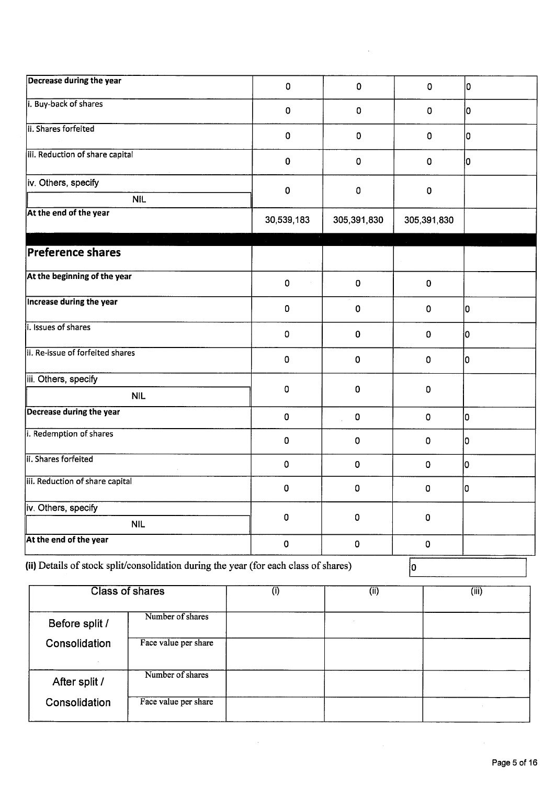| Decrease during the year                                                             | 0                  | $\mathbf 0$ | 0           | 0  |
|--------------------------------------------------------------------------------------|--------------------|-------------|-------------|----|
| i. Buy-back of shares                                                                | 0                  | $\mathbf 0$ | 0           | 10 |
| ii. Shares forfeited                                                                 | 0                  | $\mathbf 0$ | 0           | ١o |
| iii. Reduction of share capital                                                      | $\pmb{0}$          | 0           | $\mathbf 0$ | Iо |
| iv. Others, specify                                                                  | $\pmb{0}$          | $\pmb{0}$   | $\mathbf 0$ |    |
| <b>NIL</b><br>At the end of the year                                                 | 30,539,183         | 305,391,830 | 305,391,830 |    |
| <b>Preference shares</b>                                                             |                    |             |             |    |
| At the beginning of the year                                                         | $\pmb{0}$          | $\pmb{0}$   | $\mathbf 0$ |    |
| <b>Increase during the year</b>                                                      | $\pmb{0}$          | 0           | 0           | ١o |
| i. Issues of shares                                                                  | 0                  | 0           | $\mathbf 0$ | 10 |
| ii. Re-issue of forfeited shares                                                     | 0                  | $\mathbf 0$ | $\mathbf 0$ | 10 |
| iii. Others, specify                                                                 |                    | $\mathbf 0$ |             |    |
| <b>NIL</b>                                                                           | $\pmb{0}$          |             | 0           |    |
| <b>Decrease during the year</b>                                                      | $\pmb{0}$          | $\pmb{0}$   | $\mathbf 0$ | İ0 |
| i. Redemption of shares                                                              | 0                  | 0           | 0           | I٥ |
| ii. Shares forfeited                                                                 | $\pmb{0}$          | $\pmb{0}$   | $\mathbf 0$ | lо |
| iii. Reduction of share capital                                                      | 0                  | 0           | 0           | 10 |
| iv. Others, specify                                                                  |                    |             |             |    |
| <b>NIL</b>                                                                           | 0                  | 0           | $\mathbf 0$ |    |
| At the end of the year                                                               | $\pmb{\mathsf{O}}$ | $\pmb{0}$   | $\mathbf 0$ |    |
| (ii) Details of stock split/consolidation during the year (for each class of shares) |                    |             | I٥          |    |

Class of shares (i) (ii) (iii) (iii) (iiii) Before split / Number of shares Consolidation Face value per share After split / Number of shares Consolidation Face value per share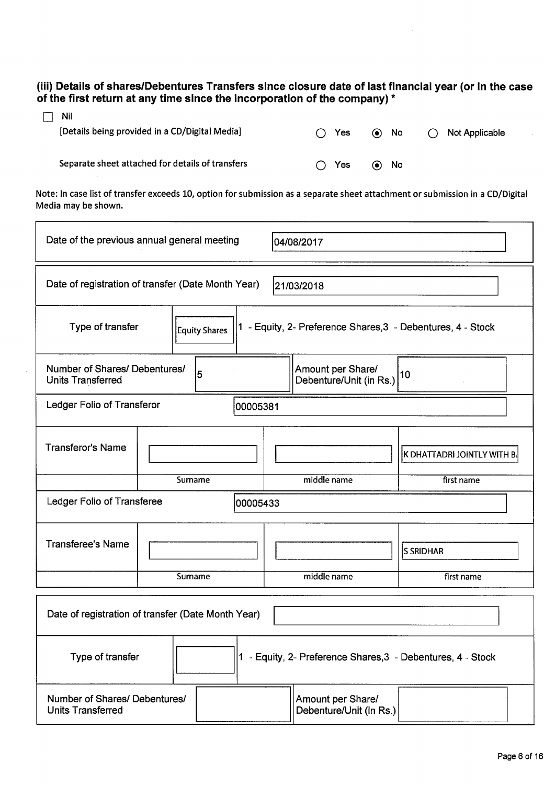# **(iii) Details of shares/Debentures Transfers since closure date of last financial year (or in the case of the first return at any time since the incorporation of the company)** \*

| - Nil                                                                           |                          |
|---------------------------------------------------------------------------------|--------------------------|
| [Details being provided in a CD/Digital Media]<br>$\bigcap$ Yes<br>$\odot$ No   | $\bigcap$ Not Applicable |
|                                                                                 |                          |
| Separate sheet attached for details of transfers<br>Yes<br>No<br>$\odot$<br>( ) |                          |

Note: In case list of transfer exceeds 10, option for submission as <sup>a</sup> separate sheet attachment or submission in <sup>a</sup> CD/Digital Media may be shown.

| Date of the previous annual general meeting<br>04/08/2017                                                            |                                                    |             |                             |  |
|----------------------------------------------------------------------------------------------------------------------|----------------------------------------------------|-------------|-----------------------------|--|
| Date of registration of transfer (Date Month Year)<br>21/03/2018                                                     |                                                    |             |                             |  |
| Type of transfer<br>1 - Equity, 2- Preference Shares, 3 - Debentures, 4 - Stock<br>Equity Shares                     |                                                    |             |                             |  |
| Amount per Share/<br>Number of Shares/ Debentures/<br>5<br>10<br>Debenture/Unit (in Rs.)<br><b>Units Transferred</b> |                                                    |             |                             |  |
| Ledger Folio of Transferor<br>00005381                                                                               |                                                    |             |                             |  |
| <b>Transferor's Name</b>                                                                                             |                                                    |             | K DHATTADRI JOINTLY WITH B. |  |
|                                                                                                                      | Surname                                            | middle name | first name                  |  |
| Ledger Folio of Transferee                                                                                           | 00005433                                           |             |                             |  |
| <b>Transferee's Name</b>                                                                                             |                                                    |             | <b>S SRIDHAR</b>            |  |
|                                                                                                                      | Surname                                            | middle name | first name                  |  |
|                                                                                                                      | Date of registration of transfer (Date Month Year) |             |                             |  |

 $\mathcal{L}$ 

| Date of registration of transfer (Date Month Tear) |                                                           |
|----------------------------------------------------|-----------------------------------------------------------|
| Type of transfer                                   | - Equity, 2- Preference Shares, 3 - Debentures, 4 - Stock |
| Number of Shares/ Debentures/<br>Units Transferred | Amount per Share/<br>Debenture/Unit (in Rs.)              |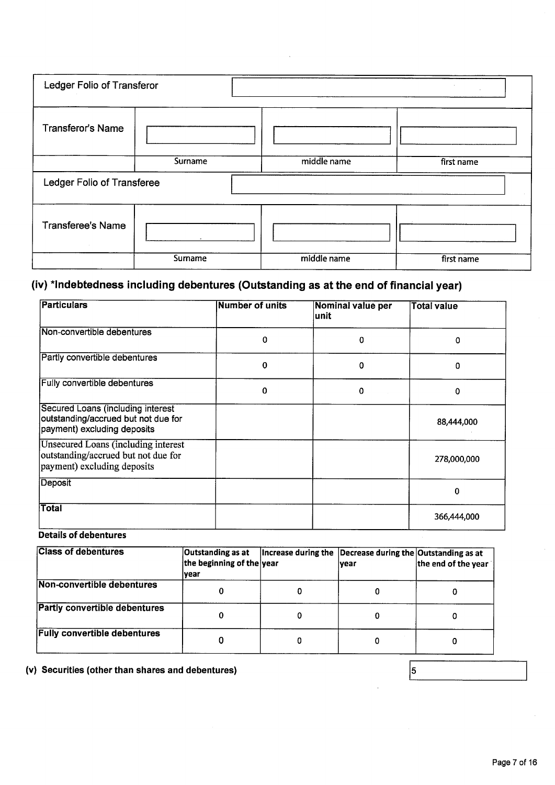| Ledger Folio of Transferor         |         |             | $\sim$     |
|------------------------------------|---------|-------------|------------|
| <b>Transferor's Name</b>           |         |             |            |
|                                    | Surname | middle name | first name |
| Ledger Folio of Transferee         |         |             |            |
|                                    |         |             |            |
| <b>Transferee's Name</b><br>$\sim$ |         |             |            |

# (iv) \*lndebtedness including debentures (Outstanding as at the end of financial year)

| Particulars                                                                                               | <b>Number of units</b> | Nominal value per<br>lunit | <b>Total value</b> |
|-----------------------------------------------------------------------------------------------------------|------------------------|----------------------------|--------------------|
| Non-convertible debentures                                                                                | 0                      | 0                          | 0                  |
| Partly convertible debentures                                                                             | 0                      | 0                          | 0                  |
| <b>Fully convertible debentures</b>                                                                       | 0                      | 0                          | 0                  |
| Secured Loans (including interest<br>outstanding/accrued but not due for<br>payment) excluding deposits   |                        |                            | 88,444,000         |
| Unsecured Loans (including interest<br>outstanding/accrued but not due for<br>payment) excluding deposits |                        |                            | 278,000,000        |
| Deposit                                                                                                   |                        |                            | 0                  |
| <b>Total</b>                                                                                              |                        |                            | 366,444,000        |

## Details of debentures

| <b>Class of debentures</b>           | Outstanding as at<br>the beginning of the year<br>lvear | Increase during the | Decrease during the Outstanding as at<br><b>vear</b> | the end of the year |
|--------------------------------------|---------------------------------------------------------|---------------------|------------------------------------------------------|---------------------|
| Non-convertible debentures           |                                                         |                     |                                                      |                     |
| <b>Partly convertible debentures</b> |                                                         |                     |                                                      | 0                   |
| <b>Fully convertible debentures</b>  |                                                         | 0                   |                                                      |                     |

(v) Securities (other than shares and debentures)

 $\sqrt{5}$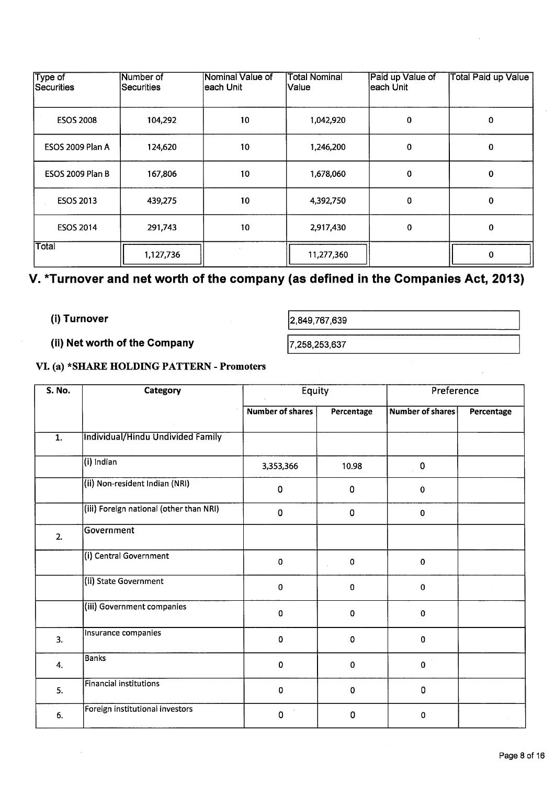| Type of<br>Securities   | Number of<br>lSecurities | Nominal Value of<br> each Unit_ | <b>Total Nominal</b><br><b>Value</b> | Paid up Value of<br>leach Unit | <b>Total Paid up Value</b> |
|-------------------------|--------------------------|---------------------------------|--------------------------------------|--------------------------------|----------------------------|
| <b>ESOS 2008</b>        | 104,292                  | 10                              | 1,042,920                            | 0                              | $\Omega$                   |
| ESOS 2009 Plan A        | 124,620                  | 10                              | 1,246,200                            | 0                              | 0                          |
| <b>ESOS 2009 Plan B</b> | 167,806                  | 10                              | 1,678,060                            | 0                              | 0                          |
| <b>ESOS 2013</b>        | 439,275                  | 10                              | 4,392,750                            | 0                              | 0                          |
| <b>ESOS 2014</b>        | 291,743                  | 10                              | 2,917,430                            | 0                              | 0                          |
| Total                   | 1,127,736                |                                 | 11,277,360                           |                                | 0                          |

# **V. Turnover and net worth of the company (as defined in the Companies Act, 2013)**

# **(i) Turnover** 2,849,767,639

**(ii) Net worth of the Company** 17,258,253,637

# **VI. (a) \*SJTAP} HOLDING PATTERN** -**Promoters**

| <b>S. No.</b>    | Category                                | <b>Equity</b>           |             | Preference              |            |
|------------------|-----------------------------------------|-------------------------|-------------|-------------------------|------------|
|                  |                                         | <b>Number of shares</b> | Percentage  | <b>Number of shares</b> | Percentage |
| $\overline{1}$ . | Individual/Hindu Undivided Family       |                         |             |                         |            |
|                  | $\sqrt{(\mathsf{i})}$ Indian            | 3,353,366               | 10.98       | 0                       |            |
|                  | (ii) Non-resident Indian (NRI)          | $\pmb{0}$               | $\pmb{0}$   | 0                       |            |
|                  | (iii) Foreign national (other than NRI) | $\pmb{0}$               | $\pmb{0}$   | 0                       |            |
| 2.               | Government                              |                         |             |                         |            |
|                  | (i) Central Government                  | $\pmb{0}$               | $\pmb{0}$   | $\mathbf 0$             |            |
|                  | (ii) State Government                   | 0                       | $\mathbf 0$ | 0                       |            |
|                  | (iii) Government companies              | 0                       | $\mathbf 0$ | $\mathbf 0$             |            |
| 3.               | Insurance companies                     | $\pmb{0}$               | $\pmb{0}$   | 0                       |            |
| 4.               | <b>Banks</b>                            | $\mathbf 0$             | $\pmb{0}$   | $\mathbf 0$             |            |
| 5.               | <b>Financial institutions</b>           | 0                       | 0           | 0                       |            |
| 6.               | Foreign institutional investors         | 0                       | 0           | $\mathbf 0$             |            |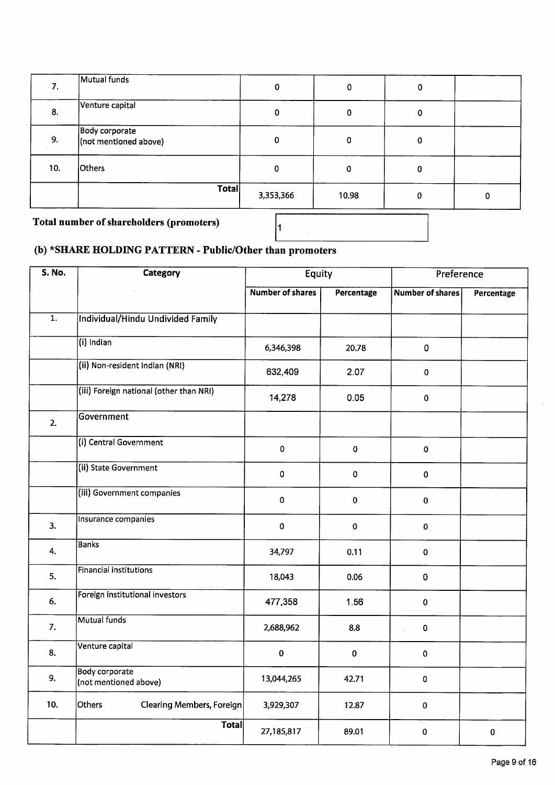| 7.  | Mutual funds                            | $\bf{0}$    | 0     | 0 |   |
|-----|-----------------------------------------|-------------|-------|---|---|
| 8.1 | Venture capital                         | 0           | 0     | 0 |   |
| 9.  | Body corporate<br>(not mentioned above) | $\mathbf 0$ | 0     | 0 |   |
| 10. | <b>Others</b>                           | 0           | 0     | 0 |   |
|     | <b>Total</b>                            | 3,353,366   | 10.98 | 0 | 0 |

 $\vert_1$ 

**Total number ofshareholders (promoters)**

# **(b)** \*SI4A1E **HOLDING PATTERN** -**Public/Other than promoters**

| S. No.           | Category                                       | Equity                  |             | Preference              |             |
|------------------|------------------------------------------------|-------------------------|-------------|-------------------------|-------------|
|                  |                                                | <b>Number of shares</b> | Percentage  | <b>Number of shares</b> | Percentage  |
| $\overline{1}$ . | <b>Individual/Hindu Undivided Family</b>       |                         |             |                         |             |
|                  | (i) Indian                                     | 6,346,398               | 20.78       | 0                       |             |
|                  | (ii) Non-resident Indian (NRI)                 | 632,409                 | 2.07        | $\pmb{0}$               |             |
|                  | (iii) Foreign national (other than NRI)        | 14,278                  | 0.05        | $\pmb{0}$               |             |
| 2.               | Government                                     |                         |             |                         |             |
|                  | (i) Central Government                         | $\pmb{0}$               | $\pmb{0}$   | $\pmb{0}$               |             |
|                  | (ii) State Government                          | $\pmb{0}$               | $\mathbf 0$ | $\mathbf 0$             |             |
|                  | (iii) Government companies                     | $\pmb{0}$               | $\pmb{0}$   | $\pmb{0}$               |             |
| 3.               | Insurance companies                            | $\mathbf 0$             | $\pmb{0}$   | $\mathbf 0$             |             |
| 4.               | <b>Banks</b>                                   | 34,797                  | 0.11        | $\mathbf 0$             |             |
| 5.               | Financial institutions                         | 18,043                  | 0.06        | 0                       |             |
| 6.               | Foreign institutional investors                | 477,358                 | 1.56        | $\pmb{0}$               |             |
| 7.               | Mutual funds                                   | 2,688,962               | 8.8         | $\pmb{0}$               |             |
| 8.               | Venture capital                                | $\mathbf 0$             | $\mathbf 0$ | $\mathbf 0$             |             |
| 9.               | <b>Body corporate</b><br>(not mentioned above) | 13,044,265              | 42.71       | 0                       |             |
| 10.              | Others<br><b>Clearing Members, Foreign</b>     | 3,929,307               | 12.87       | $\mathbf 0$             |             |
|                  | <b>Total</b>                                   | 27,185,817              | 89.01       | 0                       | $\mathbf 0$ |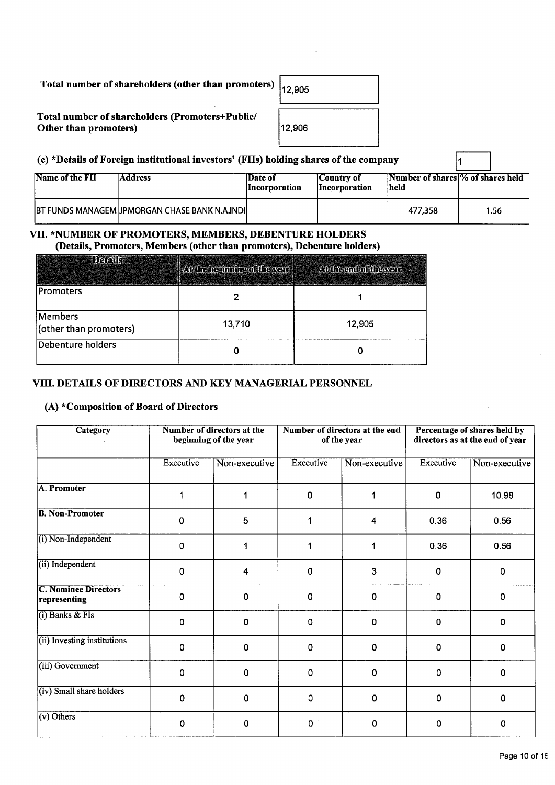# Total number of shareholders (other than promoters)

## Total number of shareholders (Promoters+Public/ Other than promoters)

| 12,905 |  |
|--------|--|
| 12,906 |  |

# (c) \*Details of Foreign institutional investors' (FIIs) holding shares of the company  $\boxed{1}$

| Name of the FII | <b>Address</b>                                         | Date of<br><i>Incorporation</i> | Country of<br><i>Incorporation</i> | Number of shares % of shares held<br>held |      |
|-----------------|--------------------------------------------------------|---------------------------------|------------------------------------|-------------------------------------------|------|
|                 | <b>IBT FUNDS MANAGEM UPMORGAN CHASE BANK N.A.INDIL</b> |                                 |                                    | 477.358                                   | 1.56 |

# VII. \*NUMBER OF PROMOTERS, MEMBERS, DEBENTURE HOLDERS

(Details, Promoters, Members (other than promoters), Debenture holders)

| 1247 U.V                          | Arthebeginning of the year | At the end of the year |
|-----------------------------------|----------------------------|------------------------|
| Promoters                         |                            |                        |
| Members<br>(other than promoters) | 13,710                     | 12,905                 |
| Debenture holders                 |                            |                        |

## Vifi. DETAILS OF DIRECTORS AND KEY MANAGERIAL PERSONNEL

## (A)  $*$ Composition of Board of Directors

| Category                                    |             | Number of directors at the<br>beginning of the year |             | Number of directors at the end<br>of the year |             | Percentage of shares held by<br>directors as at the end of year |  |
|---------------------------------------------|-------------|-----------------------------------------------------|-------------|-----------------------------------------------|-------------|-----------------------------------------------------------------|--|
|                                             | Executive   | Non-executive                                       | Executive   | Non-executive                                 | Executive   | Non-executive                                                   |  |
| A. Promoter                                 | 1           |                                                     | 0           | 1                                             | 0           | 10.98                                                           |  |
| <b>B. Non-Promoter</b>                      | 0           | $5\phantom{.0}$                                     | 1           | 4                                             | 0.36        | 0.56                                                            |  |
| $(i)$ Non-Independent                       | 0           | 1                                                   | 1           | 1                                             | 0.36        | 0.56                                                            |  |
| (ii) Independent                            | $\mathbf 0$ | 4                                                   | 0           | 3                                             | 0           | $\mathbf 0$                                                     |  |
| <b>C. Nominee Directors</b><br>representing | 0           | $\mathbf 0$                                         | 0           | 0                                             | 0           | 0                                                               |  |
| $(i)$ Banks & FIs                           | 0           | 0                                                   | $\mathbf 0$ | $\mathbf 0$                                   | 0           | 0                                                               |  |
| (ii) Investing institutions                 | 0           | $\mathbf 0$                                         | $\mathbf 0$ | 0                                             | $\mathbf 0$ | 0                                                               |  |
| (iii) Government                            | 0           | $\mathbf 0$                                         | $\mathbf 0$ | 0                                             | 0           | 0                                                               |  |
| (iv) Small share holders                    | 0           | 0                                                   | $\pmb{0}$   | 0                                             | 0           | 0                                                               |  |
| $(v)$ Others                                | 0           | 0                                                   | $\pmb{0}$   | 0                                             | 0           | 0                                                               |  |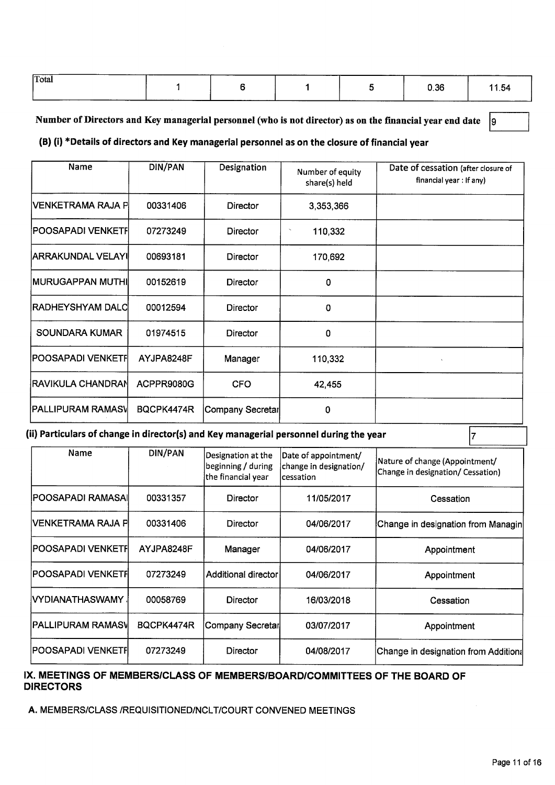| Total | . | __________ | 0.36 | 11.54 |
|-------|---|------------|------|-------|
|       |   |            |      |       |

## Number of Directors and Key managerial personnel (who is not director) as on the financial year end date  $|9|$

# **(B) (i) \*Detajls of directors and Key managerial personnel as on the closure of financial year**

| Name                     | <b>DIN/PAN</b> | Designation      | Number of equity<br>share(s) held | Date of cessation (after closure of<br>financial year: If any) |
|--------------------------|----------------|------------------|-----------------------------------|----------------------------------------------------------------|
| IVENKETRAMA RAJA PI      | 00331406       | Director         | 3,353,366                         |                                                                |
| POOSAPADI VENKETFI       | 07273249       | Director         | 110,332                           |                                                                |
| <b>ARRAKUNDAL VELAYI</b> | 00693181       | Director         | 170,692                           |                                                                |
| <b>IMURUGAPPAN MUTHI</b> | 00152619       | <b>Director</b>  | 0                                 |                                                                |
| RADHEYSHYAM DALC         | 00012594       | Director         | 0                                 |                                                                |
| SOUNDARA KUMAR           | 01974515       | Director         | 0                                 |                                                                |
| POOSAPADI VENKETF        | AYJPA8248F     | Manager          | 110,332                           |                                                                |
| <b>RAVIKULA CHANDRAN</b> | ACPPR9080G     | <b>CFO</b>       | 42,455                            |                                                                |
| <b>PALLIPURAM RAMASV</b> | BQCPK4474R     | Company Secretar | 0                                 |                                                                |

## **(ii) Particulars of change in director(s) and Key managerial personnel during the year**

| Name                | DIN/PAN    | Designation at the<br>beginning / during<br>the financial year | Date of appointment/<br>change in designation/<br>lcessation | Nature of change (Appointment/<br>Change in designation/ Cessation) |
|---------------------|------------|----------------------------------------------------------------|--------------------------------------------------------------|---------------------------------------------------------------------|
| POOSAPADI RAMASAI   | 00331357   | Director                                                       | 11/05/2017                                                   | Cessation                                                           |
| IVENKETRAMA RAJA PI | 00331406   | Director                                                       | 04/06/2017                                                   | Change in designation from Managin                                  |
| POOSAPADI VENKETFI  | AYJPA8248F | Manager                                                        | 04/06/2017                                                   | Appointment                                                         |
| IPOOSAPADI VENKETFI | 07273249   | Additional director                                            | 04/06/2017                                                   | Appointment                                                         |
| IVYDIANATHASWAMY    | 00058769   | Director                                                       | 16/03/2018                                                   | Cessation                                                           |
| IPALLIPURAM RAMAS\I | BQCPK4474R | Company Secretar                                               | 03/07/2017                                                   | Appointment                                                         |
| IPOOSAPADI VENKETFI | 07273249   | Director                                                       | 04/08/2017                                                   | Change in designation from Additional                               |

## **IX. MEETINGS OF MEMBERS/CLASS OF MEMBERS/BOARD/COMMITTEES OF THE BOARD OF DIRECTORS**

A. MEMBERS/CLASS /REQUISITIONED/NCLT/COURT CONVENED MEETINGS

 $\vert$ 7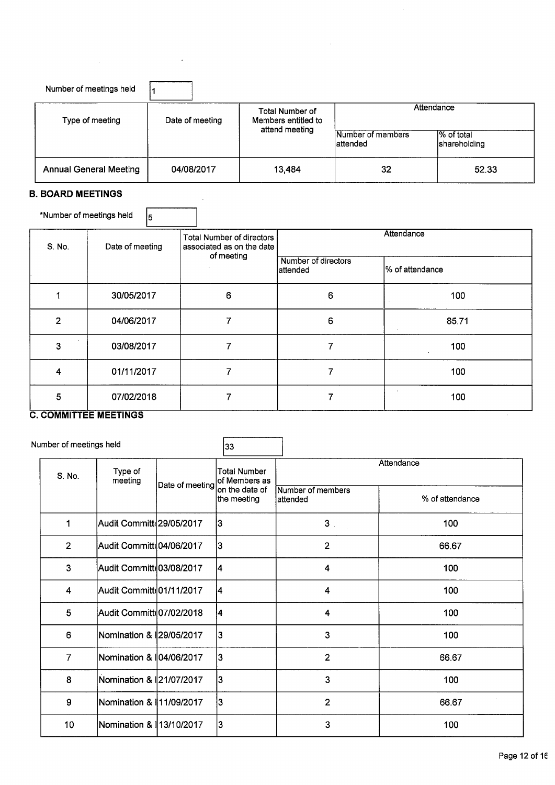| Number of meetings held       |                 |                                                          |                                |                             |  |
|-------------------------------|-----------------|----------------------------------------------------------|--------------------------------|-----------------------------|--|
| Type of meeting               | Date of meeting | Total Number of<br>Members entitled to<br>attend meeting | Attendance                     |                             |  |
|                               |                 |                                                          | Number of members<br>lattended | I% of total<br>shareholding |  |
| <b>Annual General Meeting</b> | 04/08/2017      | 13,484                                                   | 32                             | 52.33                       |  |

 $\sim 10^7$ 

 $\bar{\beta}$ 

 $\mathbf{r}$ 

 $\hat{\mathcal{A}}$ 

## B. **BOARD** MEETINGS

| *Number of meetings held | 5               |                                                        |                                  |                 |  |  |
|--------------------------|-----------------|--------------------------------------------------------|----------------------------------|-----------------|--|--|
| S. No.                   | Date of meeting | Total Number of directors<br>associated as on the date | Attendance                       |                 |  |  |
|                          |                 | of meeting                                             | Number of directors<br>lattended | % of attendance |  |  |
|                          | 30/05/2017      | 6                                                      | 6                                | 100             |  |  |
| $\overline{2}$           | 04/06/2017      | 7                                                      | 6                                | 85.71           |  |  |
| 3                        | 03/08/2017      | 7                                                      | 7                                | 100             |  |  |
| 4                        | 01/11/2017      | 7                                                      | 7                                | 100             |  |  |
| 5                        | 07/02/2018      |                                                        |                                  | 100             |  |  |

## C. COMMITTEE MEETINGS

|                |                    |                         | 33                                                                                                                                                                                                                                                                               |                                                                                  |                   |  |  |
|----------------|--------------------|-------------------------|----------------------------------------------------------------------------------------------------------------------------------------------------------------------------------------------------------------------------------------------------------------------------------|----------------------------------------------------------------------------------|-------------------|--|--|
| S. No.         | Type of<br>meeting |                         | Total Number<br>lof Members as                                                                                                                                                                                                                                                   | Attendance                                                                       |                   |  |  |
|                |                    |                         | the meeting                                                                                                                                                                                                                                                                      | lattended                                                                        | % of attendance   |  |  |
| 1              |                    |                         |                                                                                                                                                                                                                                                                                  | 3 <sub>1</sub>                                                                   | 100               |  |  |
| $\overline{2}$ |                    |                         |                                                                                                                                                                                                                                                                                  | $\overline{2}$                                                                   | 66.67             |  |  |
| 3              |                    |                         |                                                                                                                                                                                                                                                                                  | 4                                                                                | 100               |  |  |
| 4              |                    |                         |                                                                                                                                                                                                                                                                                  | 4                                                                                | 100               |  |  |
| 5              |                    |                         |                                                                                                                                                                                                                                                                                  | 4                                                                                | 100               |  |  |
| 6              |                    |                         |                                                                                                                                                                                                                                                                                  | 3                                                                                | 100               |  |  |
| $\overline{7}$ |                    |                         |                                                                                                                                                                                                                                                                                  | $\overline{2}$                                                                   | 66.67             |  |  |
| 8              |                    |                         |                                                                                                                                                                                                                                                                                  | 3                                                                                | 100               |  |  |
| 9              |                    |                         | 13                                                                                                                                                                                                                                                                               | $\overline{2}$                                                                   | 66.67             |  |  |
| 10             |                    |                         | 3                                                                                                                                                                                                                                                                                | 3                                                                                | 100               |  |  |
|                |                    | Number of meetings held | Audit Committ 29/05/2017<br>Audit Committ 04/06/2017<br>Audit Committe03/08/2017<br>Audit Committe01/11/2017<br>Audit Committd07/02/2018<br>Nomination & 29/05/2017<br>Nomination & 104/06/2017<br>Nomination & 21/07/2017<br>Nomination & 11/09/2017<br>Nomination & 13/10/2017 | Date of meeting<br>on the date of<br> 3<br>13<br>4<br>14<br>14<br>13<br>lз<br>13 | Number of members |  |  |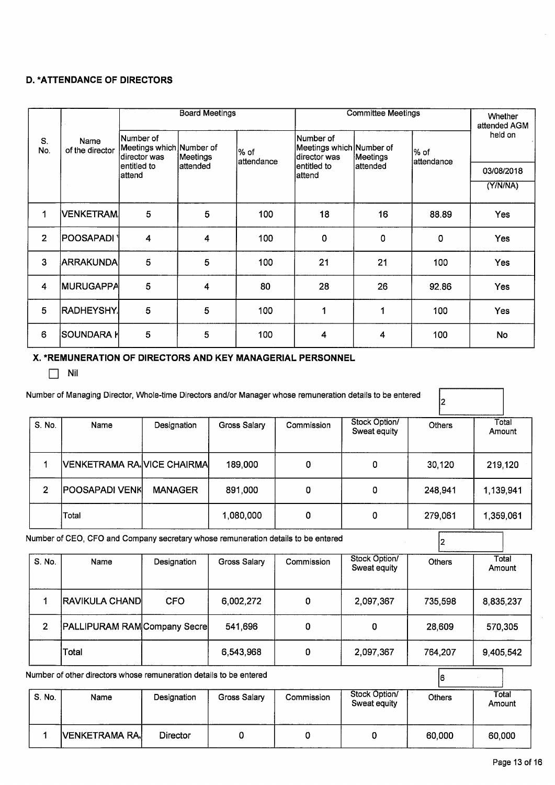## **D. \*ATTENDANCE OF DIRECTORS**

|                |                         | <b>Board Meetings</b>                                   |           |                      | <b>Committee Meetings</b>                             |                                              |         | Whether<br>attended AGM |
|----------------|-------------------------|---------------------------------------------------------|-----------|----------------------|-------------------------------------------------------|----------------------------------------------|---------|-------------------------|
| S.<br>No.      | Name<br>of the director | lNumber of<br>Meetings which Number of<br>Idirector was | Meetings  | l% of<br>lattendance | Number of<br>Meetings which Number of<br>director was | l% of<br>Meetings<br>attendance<br>lattended | held on |                         |
|                |                         | lentitled to<br>lattend                                 | lattended |                      | lentitled to<br>lattend                               |                                              |         | 03/08/2018              |
|                |                         |                                                         |           |                      |                                                       |                                              |         | (Y/N/N)                 |
| 1              | <b>VENKETRAM</b>        | 5                                                       | 5         | 100                  | 18                                                    | 16                                           | 88.89   | <b>Yes</b>              |
| $\overline{2}$ | <b>POOSAPADI</b>        | 4                                                       | 4         | 100                  | 0                                                     | 0                                            | 0       | <b>Yes</b>              |
| 3              | <b>ARRAKUNDA</b>        | 5                                                       | 5         | 100                  | 21                                                    | 21                                           | 100     | Yes                     |
| 4              | <b>MURUGAPPA</b>        | 5                                                       | 4         | 80                   | 28                                                    | 26                                           | 92.86   | Yes                     |
| 5              | <b>RADHEYSHY</b>        | 5                                                       | 5         | 100                  | 1                                                     | 1                                            | 100     | Yes                     |
| 6              | SOUNDARA ŀ              | 5                                                       | 5         | 100                  | 4                                                     | 4                                            | 100     | No                      |

## **X. \*REMUNERATION OF DIRECTORS AND KEY MANAGERIAL PERSONNEL**

 $\Box$  Nil

| S. No. | Name                         | Designation    | Gross Salary | Commission | Stock Option/<br>Sweat equity | <b>Others</b> | Total<br>Amount |
|--------|------------------------------|----------------|--------------|------------|-------------------------------|---------------|-----------------|
|        | IVENKETRAMA RAJVICE CHAIRMAI |                | 189,000      | 0          | 0                             | 30,120        | 219,120         |
| 2      | IPOOSAPADI VENKI             | <b>MANAGER</b> | 891,000      | 0          | 0                             | 248,941       | 1,139,941       |
|        | Total                        |                | 1,080,000    | 0          | 0                             | 279,061       | 1,359,061       |

| S. No. | Name                                | Designation | Gross Salary | Commission | Stock Option/<br>Sweat equity | <b>Others</b> | Total<br>Amount |
|--------|-------------------------------------|-------------|--------------|------------|-------------------------------|---------------|-----------------|
|        | <b>RAVIKULA CHAND</b>               | <b>CFO</b>  | 6,002,272    |            | 2.097,367                     | 735,598       | 8,835,237       |
| 2      | <b>PALLIPURAM RAM Company Secre</b> |             | 541,696      |            |                               | 28,609        | 570,305         |
|        | Total                               |             | 6,543,968    |            | 2,097,367                     | 764,207       | 9,405,542       |

Number of other directors whose remuneration details to be entered

| S. No. | Name                  | Designation | Gross Salary | Commission | Stock Option/<br>Sweat equity | <b>Others</b> | Total<br>Amount |
|--------|-----------------------|-------------|--------------|------------|-------------------------------|---------------|-----------------|
|        | <b>VENKETRAMA RA.</b> | Director    |              |            |                               | 60,000        | 60,000          |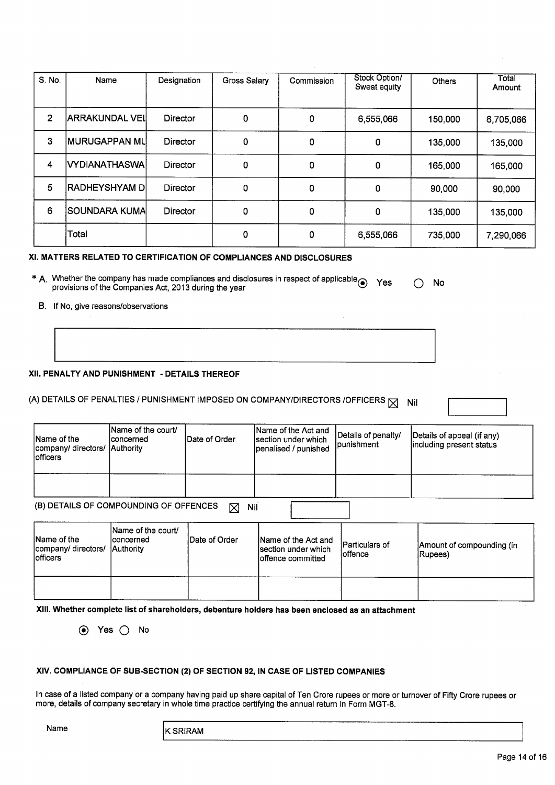| S. No.         | Name                   | Designation     | Gross Salary | Commission | Stock Option/<br>Sweat equity | <b>Others</b> | Total<br>Amount |
|----------------|------------------------|-----------------|--------------|------------|-------------------------------|---------------|-----------------|
| $\overline{2}$ | IARRAKUNDAL VEII       | Director        | 0            | 0          | 6,555,066                     | 150,000       | 6,705,066       |
| 3              | <b>IMURUGAPPAN MLI</b> | Director        | 0            | 0          | 0                             | 135,000       | 135,000         |
| 4              | VYDIANATHASWA          | <b>Director</b> | 0            | 0          | 0                             | 165,000       | 165,000         |
| 5              | <b>RADHEYSHYAM DI</b>  | Director        | 0            | 0          | 0                             | 90,000        | 90,000          |
| 6              | SOUNDARA KUMA          | Director        | 0            | 0          | 0                             | 135,000       | 135,000         |
|                | Total                  |                 | 0            | 0          | 6,555,066                     | 735,000       | 7,290,066       |

#### **XI.** MATTERS RELATED TO CERTIFICATION OF COMPLIANCES AND DISCLOSURES

- \* A. Whether the company has made compliances and disclosures in respect of applicable <br>provisions of the Companies Act, 2013 during the year  $\bigcap$  No
	- B. If No, give reasons/observations

### **XII. PENALTY AND PUNISHMENT** - **DETAILS THEREOF**

# (A) DETAILS OF PENALTIES / PUNISHMENT IMPOSED ON COMPANY/DIRECTORS /OFFICERS  $\boxtimes$  Nil

| Name of the<br>company/ directors/ Authority<br>lofficers | Name of the court/<br><b>Iconcerned</b> | IDate of Order | Name of the Act and<br>section under which<br>penalised / punished | Details of penalty/<br><b>Ipunishment</b> | Details of appeal (if any)<br>including present status |  |  |  |
|-----------------------------------------------------------|-----------------------------------------|----------------|--------------------------------------------------------------------|-------------------------------------------|--------------------------------------------------------|--|--|--|
|                                                           |                                         |                |                                                                    |                                           |                                                        |  |  |  |
| (B) DETAILS OF COMPOUNDING OF OFFENCES<br>Nil<br>⊠        |                                         |                |                                                                    |                                           |                                                        |  |  |  |

| Name of the<br>company/ directors/ Authority<br>lofficers | Name of the court/<br>Iconcerned | Date of Order | Name of the Act and<br>section under which<br>Ioffence committed | Particulars of<br>loffence | Amount of compounding (in<br>Rupees) |  |  |
|-----------------------------------------------------------|----------------------------------|---------------|------------------------------------------------------------------|----------------------------|--------------------------------------|--|--|
|                                                           |                                  |               |                                                                  |                            |                                      |  |  |

**XIII. Whether complete list of shareholders, debenture holders has been enclosed as an attachment**

® Yes Q No

#### **XIV. COMPLIANCE OF SUB-SECTION (2) OF SECTION 92, IN CASE OF LISTED COMPANIES**

In case of a listed company or a company having paid up share capital of Ten Crore rupees or more or turnover of Fifty Crore rupees or more, details of company secretary in whole time practice certifying the annual return in Form MGT-8.

Name

JKSRIRAM AND STRAIGHTEN AND THE STRAIGHTEN AND THE STRAIGHTEN AND THE STRAIGHTEN AND THE STRAIGHTEN AND THE STRAIGHTEN AND THE STRAIGHTEN AND THE STRAIGHTEN AND THE STRAIGHT AND THE STRAIGHT AND THE STRAIGHT AND THE STRAIG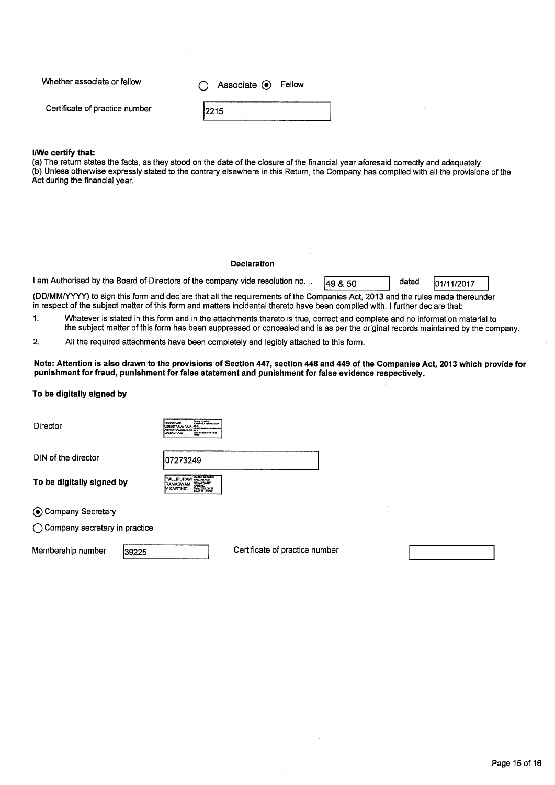Whether associate or fellow

0 **Associate** ® Fellow

Certificate of practice number

#### 2215 12215

#### l!We **certify that:**

(a) The return states the facts, as they stood on the date of the closure of the financial year aforesaid correctly and adequately. (b) Unless otherwise expressly stated to the contrary elsewhere in this Return, the Company has complied with all the provisions of the Act during the financial year.

#### **Declaration**

I am Authorised by the Board of Directors of the company vide resolution no. ..  $\sqrt{49.850}$  dated  $\sqrt{01/11/2017}$ 

(DD/MM/YYYY) to sign this form and declare that all the requirements of the Companies Act, 2013 and the rules made thereunder in respect of the subject matter of this form and matters incidental thereto have been compiled with. <sup>I</sup> further declare that:

1. Whatever is stated in this form and in the attachments thereto is true, correct and complete and no information material to the subject matter of this form has been suppressed or concealed and is as per the original records maintained by the company.

2. All the required attachments have been completely and legibly attached to this form.

#### Note: Attention is also drawn to the provisions of Section 447, section 448 and 449 of the Companies Act, 2013 which provide for **punishment for fraud, punishment for false statement and punishment for false evidence respectively.**

#### **To be digitally signed by**

Director

**PALLIPURAM POLY AND RAMASWAM**<br>**RAMASWAM KARTHC**<br>Y KARTHIC PHERICI

107273249

DIN of the director

**To** be digitally signed by

(13 Company Secretary

O Company secretary in practice

Membership number 39225 Certificate of practice number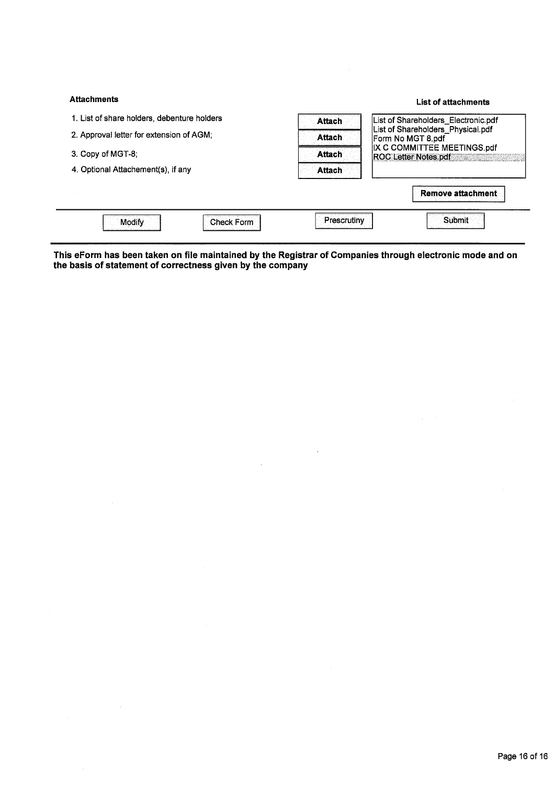| <b>Attachments</b>                          |               | List of attachments                                    |  |  |
|---------------------------------------------|---------------|--------------------------------------------------------|--|--|
| 1. List of share holders, debenture holders | Attach        | List of Shareholders_Electronic.pdf                    |  |  |
| 2. Approval letter for extension of AGM;    | <b>Attach</b> | List of Shareholders_Physical.pdf<br>Form No MGT 8.pdf |  |  |
| 3. Copy of MGT-8:                           | Attach        | IX C COMMITTEE MEETINGS.pdf<br>ROC Letter Notes pdf    |  |  |
| 4. Optional Attachement(s), if any          | <b>Attach</b> |                                                        |  |  |
|                                             |               | <b>Remove attachment</b>                               |  |  |
| Modify<br>Check Form                        | Prescrutiny   | <b>Submit</b>                                          |  |  |

This eForm has been taken on file maintained by the Registrar of Companies through electronic mode and on **the basis of statement of correctness given by the company**

 $\sim$ 

 $\bar{z}$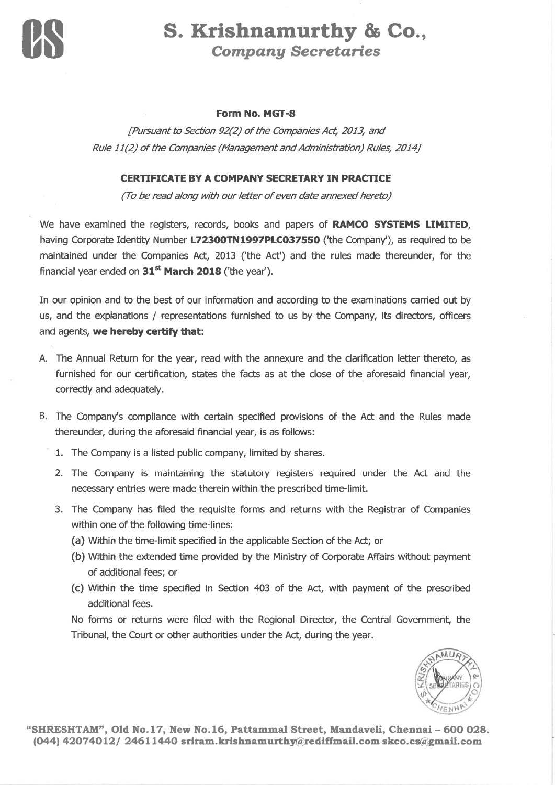

# S. Krishnamurthy & Co., Compang Secretaríes

## Form No. MGT-8

Pursuant to Section 92(2) of the Companies Act, 2013, and<br>Rule 11(2) of the Companies (Management and Administration) Rules, 2014]

## CERTIFICATE BY A COMPANY SECRETARY IN PRACTICE

(To be read along with our letter of even date annexed hereto)

We have examined the registers, records, books and papers of **RAMCO SYSTEMS LIMITED**, having Corporate Identity Number L72300TN1997PLC037550 ('the Company'), as required to be maintained under the Companies Act, 2013 ('the Act') and the rules made thereunder, for the financial year ended on  $31<sup>st</sup>$  March 2018 ('the year').

In our opinion and to the best of our information and according to the examinations carried out by us, and the explanations / representations furnished to us by the Company, its directors, officers and agents, we hereby certify that:

- A. The Annual Return for the year, read with the annexure and the clarification letter thereto, as furnished for our ceftification, states the facts as at the close of the aforesaid financial year, correctly and adequately.
- B. The Company's compliance with certain specified provisions of the Act and the Rules made thereunder, during the aforesaid financial year, is as follows:
	- 1. The Company is a listed public company, limited by shares.
	- 2. The Company is maintaining the statutory registers required under the Act and the necessary entries were made therein within the prescribed time-limit.
	- 3. The Company has filed the requisite forms and returns with the Registrar of Companies within one of the following time-lines:
		- (a) Within the time-limit specified in the applicable Section of the Act; or
		- (b) Within the extended time provided by the Ministry of Corporate Affairs without payment of additional fees; or
		- (c) Within the time specified in Section 403 of the Act, with payment of the prescribed additional fees.

No forms or returns were filed with the Regional Director, the Central Government, the Tribunal, the Court or other authorities under the Act, during the year.

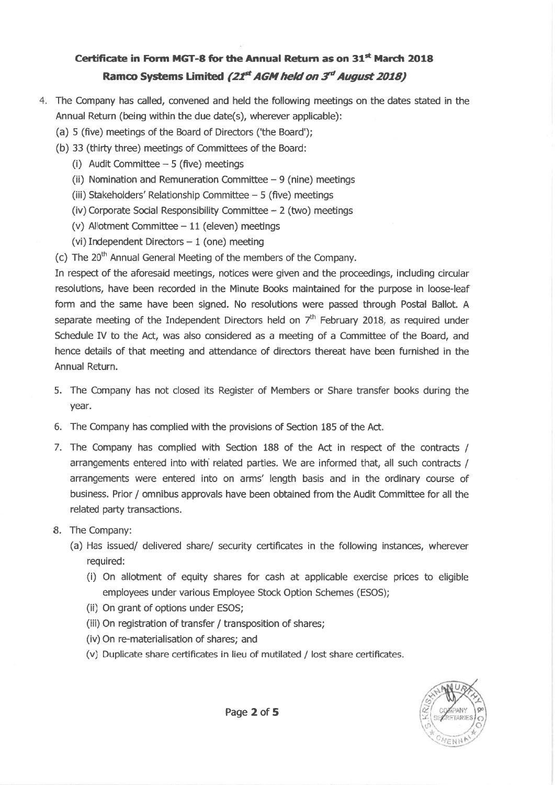- The Company has called, convened and held the following meetings on the dates stated in the Annual Return (being within the due date(s), wherever applicable):
	- (a) 5 (five) meetings of the Board of Directors ('the Board');
	- (b) 33 (thirty three) meetings of Committees of the Board:
		- (i) Audit Committee  $-5$  (five) meetings
		- (ii) Nomination and Remuneration Committee  $-9$  (nine) meetings
		- (iii) Stakeholders' Relationship Committee  $-5$  (five) meetings
		- (iv) Corporate Social Responsibility Committee  $2$  (two) meetings
		- (v) Allotment Committee  $-11$  (eleven) meetings
		- (vi) Independent Directors  $-1$  (one) meeting
	- (c) The  $20<sup>th</sup>$  Annual General Meeting of the members of the Company.

In respect of the aforesaid meetings, notices were given and the proceedings, including circular resolutions, have been recorded in the Minute Books maintained for the purpose in loose-leaf form and the same have been signed. No resolutions were passed through Postal Ballot. <sup>A</sup> separate meeting of the Independent Directors held on  $7<sup>th</sup>$  February 2018, as required under Schedule IV to the Act, was also considered as a meeting of a Committee of the Board, and hence details of that meeting and attendance of directors thereat have been furnished in the Annual Return.

- 5. The Company has not closed its Register of Members or Share transfer books during the year.
- 6. The Company has complied with the provisions of Section 185 of the Act.
- 7. The Company has complied with Section 188 of the Act in respect of the contracts / arrangements entered into with related parties. We are informed that, all such contracts / arrangements were entered into on arms' length basis and in the ordinary course of business. Prior / omnibus approvals have been obtained from the Audit Committee for all the related party transactions.
- B. The Company:
	- (a) Has issued/ delivered share/ security ceftificates in the following instances, wherever required:
		- (i) On allotment of equity shares for cash at applicable exercise prices to eligible employees under various Employee Stock Option Schemes (ESOS);
		- (ii) On grant of options under ESOS;
		- (iii) On registration of transfer / transposition of shares;
		- (iv) On re-materialisation of shares; and
		- (v) Duplicate share ceftificates in lieu of mutilated / lost share ceftificates.

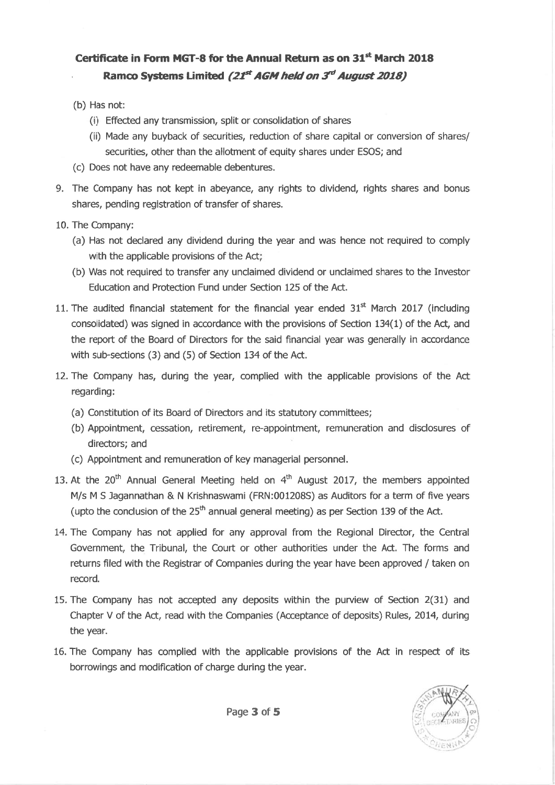- (b) Has not:
	- (i) Effected any transmission, split or consolidation of shares
	- (ii) Made any buyback of securities, reduction of share capital or conversion of shares/ securities, other than the allotment of equity shares under ESOS; and
- (c) Does not have any redeemable debentures.
- 9. The Company has not kept in abeyance, any rights to dividend, rights shares and bonus shares, pending registration of transfer of shares.
- 10. The Company:
	- (a) Has not declared any dividend during the year and was hence not required to comply with the applicable provisions of the Act;
	- (b) Was not required to transfer any unclaimed dividend or unclaimed shares to the Investor Education and Protection Fund under Section L25 of the Act.
- 11. The audited financial statement for the financial year ended  $31<sup>st</sup>$  March 2017 (including consolidated) was signed in accordance with the provisions of Section 134(1) of the Act, and the repoft of the Board of Directors for the said financial year was generally in accordance with sub-sections  $(3)$  and  $(5)$  of Section 134 of the Act.
- 12. The Company has, during the year, complied with the applicable provisions of the Act regarding:
	- (a) Constitution of its Board of Directors and its statutory committees;
	- (b) Appointment, cessation, retirement, re-appointment, remuneration and disclosures of directors; and
	- (c) Appointment and remuneration of key managerial personnel.
- 13. At the  $20^{th}$  Annual General Meeting held on  $4^{th}$  August 2017, the members appointed M/s M S Jagannathan & N Krishnaswami (FRN:001208S) as Auditors for a term of five years (upto the conclusion of the  $25<sup>th</sup>$  annual general meeting) as per Section 139 of the Act.
- 14. The Company has not applied for any approval from the Regional Director, the Central Government, the Tribunal, the Court or other authorities under the Act. The forms and returns filed with the Registrar of Companies during the year have been approved / taken on record.
- 15. The Company has not accepted any deposits within the puruiew of Section 2(31) and Chapter V of the Act, read with the Companies (Acceptance of deposits) Rules, 2014, during the year.
- 16. The Company has complied with the applicable provisions of the Act in respect of its borrowings and modification of charge during the year.

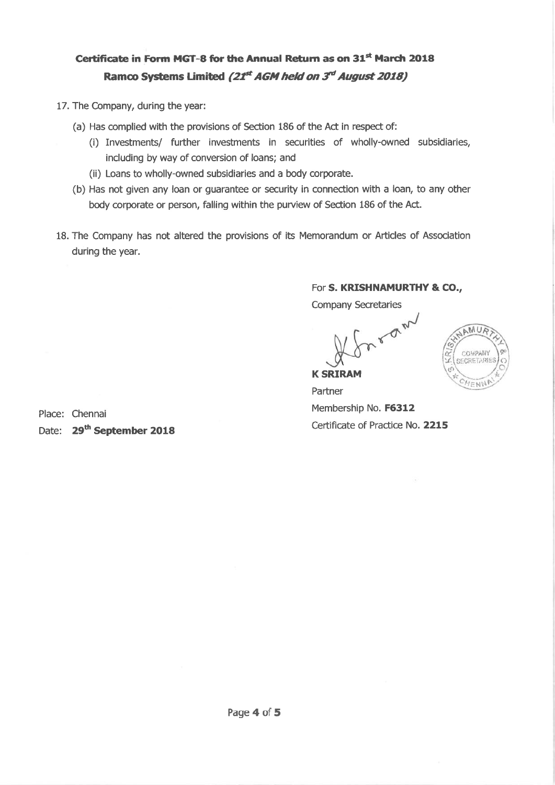- 17. The Company, during the year:
	- (a) Has complied with the provisions of Section 186 of the Act in respect of:
		- (i) Investments/ further investments in securities of wholly-owned subsidiaries, including by way of conversion of loans; and
		- (ii) Loans to wholly-owned subsidiaries and a body corporate.
	- (b) Has not given any loan or guarantee or security in connection with a loan, to any other body corporate or person, falling within the purview of Section 186 of the Act.
- 18. The Company has not altered the provisions of its Memorandum or Articles of Association during the year.

## For S. KRISHNAMURTHY & CO.,

**Company Secretaries** 

LIAN



**K SRIRAM** Partner Membership No. F6312 Certificate of Practice No. 2215

Place: Chennai Date: 29<sup>th</sup> September 2018

Page 4 of 5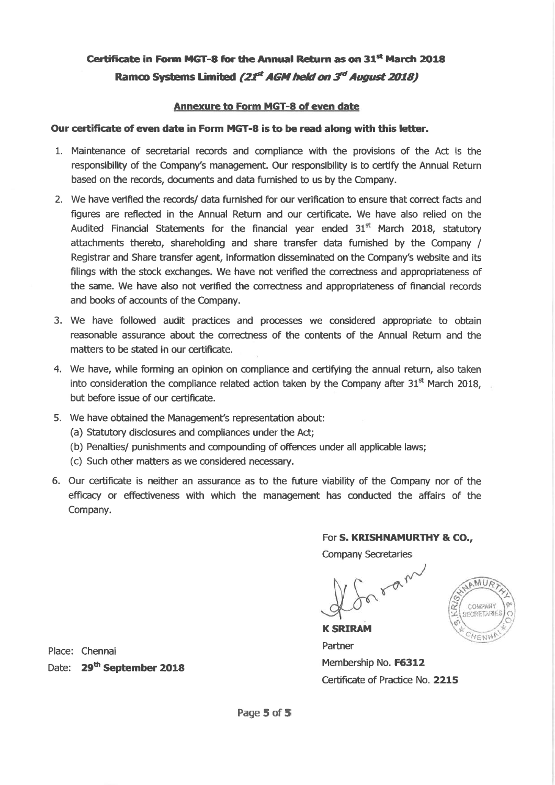## Annexure to Form MGT-8 of even date

## Our certificate of even date in Form MGT-8 is to be read along with this letter.

- 1. Maintenance of secretarial records and æmpliance with the provisions of the Act is the responsibility of the Company's management. Our responsibility is to certify the Annual Return based on the records, documents and data furnished to us by the Company.
- 2. We have verified the records/ data furnished for our verification to ensure that correct facts and fìgures are reflected in the Annual Return and our certificate. We have also relied on the Audited Financial Statements for the financial year ended  $31<sup>st</sup>$  March 2018, statutory attachments thereto, shareholding and share transfer data furnished by the Company / Registrar and Share transfer agent, information disseminated on the Company's website and its filings with the stock exchanges. We have not verified the correctness and appropriateness of the same. We have also not verified the correctness and appropriateness of financial records and books of accounts of the Company.
- 3. We have followed audit practices and processes we considered appropriate to obtain reasonable assurance about the correctness of the contents of the Annual Return and the matters to be stated in our certificate.
- 4. We have, while forming an opinion on compliance and certifying the annual return, also taken into consideration the compliance related action taken by the Company after  $31<sup>st</sup>$  March 2018, but before issue of our certificate.
- 5. We have obtained the Management's representation about:
	- (a) Statutory disdosures and compliances under the Act;
	- (b) Penalties/ punishments and compounding of offences under all applicable laws;
	- (c) Such other matters as we considered necessary.
- 6. Our ceftificate is neither an assurance as to the future viability of the Company nor of the efficacy or effectiveness with which the management has conducted the affairs of the Company.

### For S. KRISHNAMURTHY & CO.,

Company Secretaries



K SRIRAM Partner Membership No. F6312 Ceftificate of Practice No. 2215

Place: Chennai Date: 29<sup>th</sup> September 2018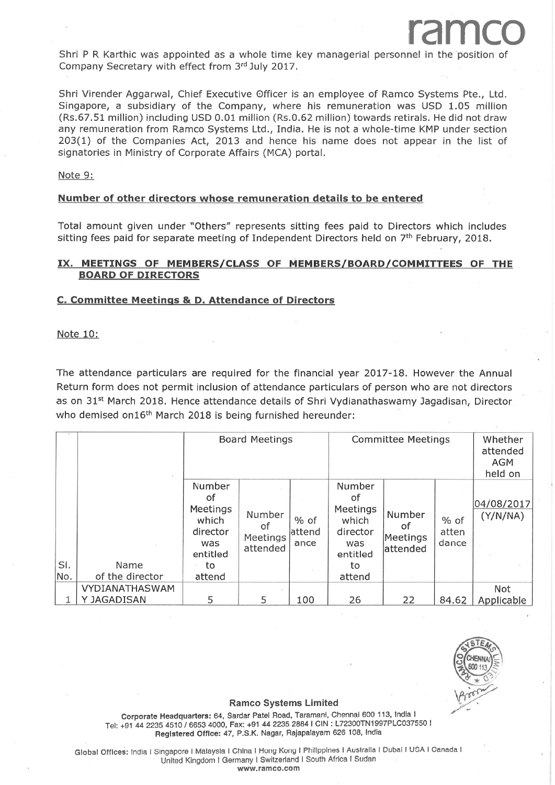Shri P R Karthic was appointed as a whole time key managerial personnel in the position of Company Secretary with effect from 3rd July 2017.

Shri Virender Aggarwal, Chief Executive Officer is an employee of Ramco Systems Pte., Ltd. Singapore, a subsidiary of the Company, where his remuneration was USD 1.05 million (Rs.67.51 million) including USD 0.01 million (Rs.0.62 million) towards retirals. He did not draw any remuneration from Ramco Systems Ltd., India. He is not a whole-time KMP under section 203(1) of the Companies Act, 2013 and hence his name does not appear in the list of signatories in Ministry of Corporate Affairs (MCA) portal,

Note 9:

#### Number of other directors whose remuneration details to be entered

Total amount given under "Others" represents sitting fees paid to Directors which includes sitting fees paid for separate meeting of Independent Directors held on  $7<sup>th</sup>$  February, 2018.

### IX. MEETINGS OF MEMBERS/CLASS OF MEMBERS/BOARD/COMMITTEES OF THE BOARD OF DIRECTORS

#### C. Committee Meetings & D. Attendance of Directors

Note 10:

The attendance particulars are required for the financial year 2017-18. However the Annual Return form does not permit inclusion of attendance particulars of person who are not directors as on 31<sup>st</sup> March 2018. Hence attendance details of Shri Vydianathaswamy Jagadisan, Director who demised on16<sup>th</sup> March 2018 is being furnished hereunder:

|     | ×               | <b>Board Meetings</b>                                                  |                                      |                           | <b>Committee Meetings</b>                                              |                                      |                        | Whether<br>attended<br><b>AGM</b><br>held on |
|-----|-----------------|------------------------------------------------------------------------|--------------------------------------|---------------------------|------------------------------------------------------------------------|--------------------------------------|------------------------|----------------------------------------------|
| SI. | Name            | Number<br>οf<br>Meetings<br>which<br>director<br>was<br>entitled<br>to | Number<br>οf<br>Meetings<br>attended | $%$ of<br>lattend<br>ance | Number<br>οf<br>Meetings<br>which<br>director<br>was<br>entitled<br>to | Number<br>of<br>Meetings<br>attended | % of<br>atten<br>dance | 04/08/2017<br>(Y/N/NA)                       |
| No. | of the director | attend                                                                 |                                      |                           | attend                                                                 |                                      |                        |                                              |
|     | VYDIANATHASWAM  |                                                                        |                                      |                           |                                                                        |                                      |                        | <b>Not</b>                                   |
|     | Y JAGADISAN     | 5                                                                      | 5                                    | 100                       | 26                                                                     | 22                                   | 84.62                  | Applicable                                   |



ramco

#### Ramco Systems Limited

corporate Headquarters:64, Sardar Patel Road, Taramani, chennai 600 113, lndla <sup>I</sup> Tel: +91 44 2235 4510 / 6653 4000, Fax: +91 44 2235 2884 l CIN : L72300TN1997PLC037550 l Registered Office: 47, P.S.K. Nagar, Rajapalayam 626 108, India

Global Offices: India I Singapore I Malaysia I China I Hong Kong I Philippines I Australia I Dubai I USA I Canada I United Kingdom I Germany I Switzefand I South Africa I Sudan

www.ramco.com